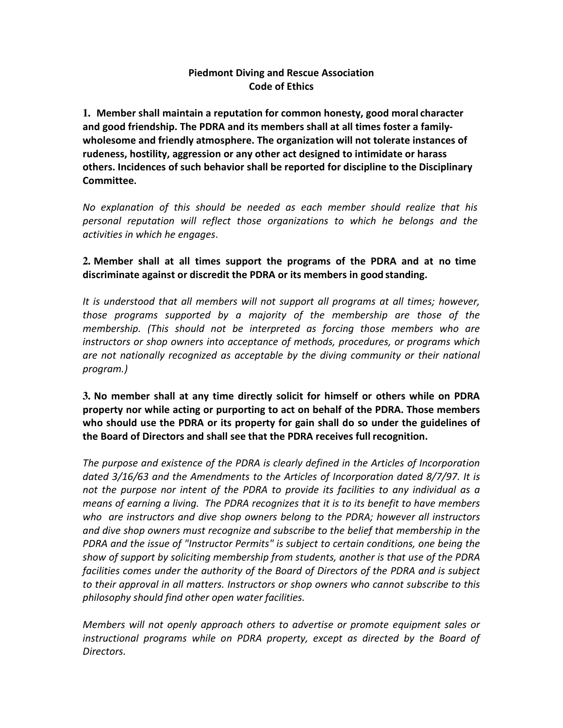## Piedmont Diving and Rescue Association Code of Ethics

**1.** Member shall maintain a reputation for common honesty, good moral character and good friendship. The PDRA and its members shall at all times foster a familywholesome and friendly atmosphere. The organization will not tolerate instances of rudeness, hostility, aggression or any other act designed to intimidate or harass others. Incidences of such behavior shall be reported for discipline to the Disciplinary Committee.

No explanation of this should be needed as each member should realize that his personal reputation will reflect those organizations to which he belongs and the activities in which he engages.

## **2.** Member shall at all times support the programs of the PDRA and at no time discriminate against or discredit the PDRA or its members in good standing.

It is understood that all members will not support all programs at all times; however, those programs supported by a majority of the membership are those of the membership. (This should not be interpreted as forcing those members who are instructors or shop owners into acceptance of methods, procedures, or programs which are not nationally recognized as acceptable by the diving community or their national program.)

**3.** No member shall at any time directly solicit for himself or others while on PDRA property nor while acting or purporting to act on behalf of the PDRA. Those members who should use the PDRA or its property for gain shall do so under the guidelines of the Board of Directors and shall see that the PDRA receives full recognition.

The purpose and existence of the PDRA is clearly defined in the Articles of Incorporation dated 3/16/63 and the Amendments to the Articles of Incorporation dated 8/7/97. It is not the purpose nor intent of the PDRA to provide its facilities to any individual as a means of earning a living. The PDRA recognizes that it is to its benefit to have members who are instructors and dive shop owners belong to the PDRA; however all instructors and dive shop owners must recognize and subscribe to the belief that membership in the PDRA and the issue of "Instructor Permits" is subject to certain conditions, one being the show of support by soliciting membership from students, another is that use of the PDRA facilities comes under the authority of the Board of Directors of the PDRA and is subject to their approval in all matters. Instructors or shop owners who cannot subscribe to this philosophy should find other open water facilities.

Members will not openly approach others to advertise or promote equipment sales or instructional programs while on PDRA property, except as directed by the Board of Directors.